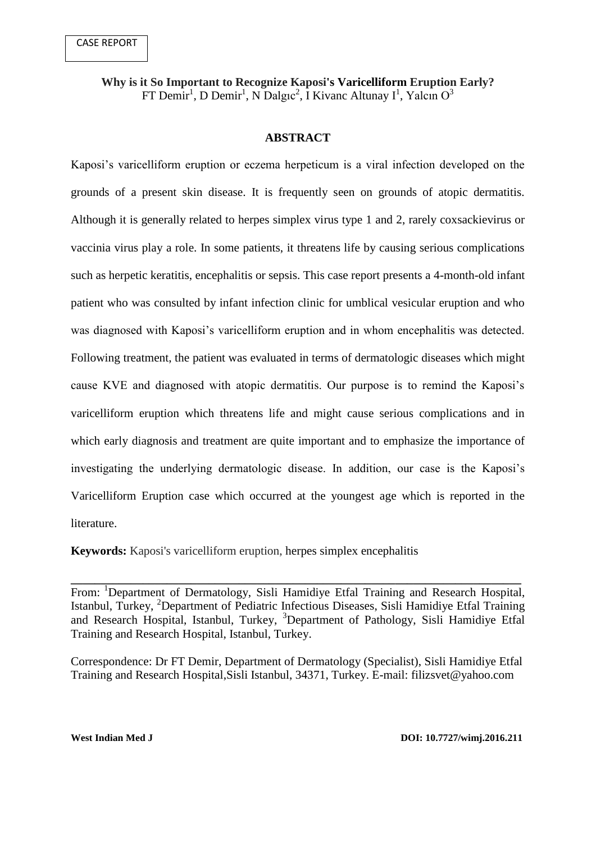**Why is it So Important to Recognize Kaposi's Varicelliform Eruption Early?**  $FT$  Demir<sup>1</sup>, D Demir<sup>1</sup>, N Dalgıc<sup>2</sup>, İ Kivanc Altunay I<sup>1</sup>, Yalcın O<sup>3</sup>

# **ABSTRACT**

Kaposi's varicelliform eruption or eczema herpeticum is a viral infection developed on the grounds of a present skin disease. It is frequently seen on grounds of atopic dermatitis. Although it is generally related to herpes simplex virus type 1 and 2, rarely coxsackievirus or vaccinia virus play a role. In some patients, it threatens life by causing serious complications such as herpetic keratitis, encephalitis or sepsis. This case report presents a 4-month-old infant patient who was consulted by infant infection clinic for umblical vesicular eruption and who was diagnosed with Kaposi's varicelliform eruption and in whom encephalitis was detected. Following treatment, the patient was evaluated in terms of dermatologic diseases which might cause KVE and diagnosed with atopic dermatitis. Our purpose is to remind the Kaposi's varicelliform eruption which threatens life and might cause serious complications and in which early diagnosis and treatment are quite important and to emphasize the importance of investigating the underlying dermatologic disease. In addition, our case is the Kaposi's Varicelliform Eruption case which occurred at the youngest age which is reported in the literature.

**Keywords:** Kaposi's varicelliform eruption, herpes simplex encephalitis

**\_\_\_\_\_\_\_\_\_\_\_\_\_\_\_\_\_\_\_\_\_\_\_\_\_\_\_\_\_\_\_\_\_\_\_\_\_\_\_\_\_\_\_\_\_\_\_\_\_\_\_\_\_\_\_\_\_\_\_\_\_\_\_\_\_\_\_\_\_\_\_\_\_\_\_** From: <sup>1</sup>Department of Dermatology, Sisli Hamidiye Etfal Training and Research Hospital, Istanbul, Turkey, <sup>2</sup>Department of Pediatric Infectious Diseases, Sisli Hamidiye Etfal Training and Research Hospital, Istanbul, Turkey, <sup>3</sup>Department of Pathology, Sisli Hamidiye Etfal Training and Research Hospital, Istanbul, Turkey.

Correspondence: Dr FT Demir, Department of Dermatology (Specialist), Sisli Hamidiye Etfal Training and Research Hospital,Sisli Istanbul, 34371, Turkey. E-mail: [filizsvet@yahoo.com](mailto:filizsvet@yahoo.com)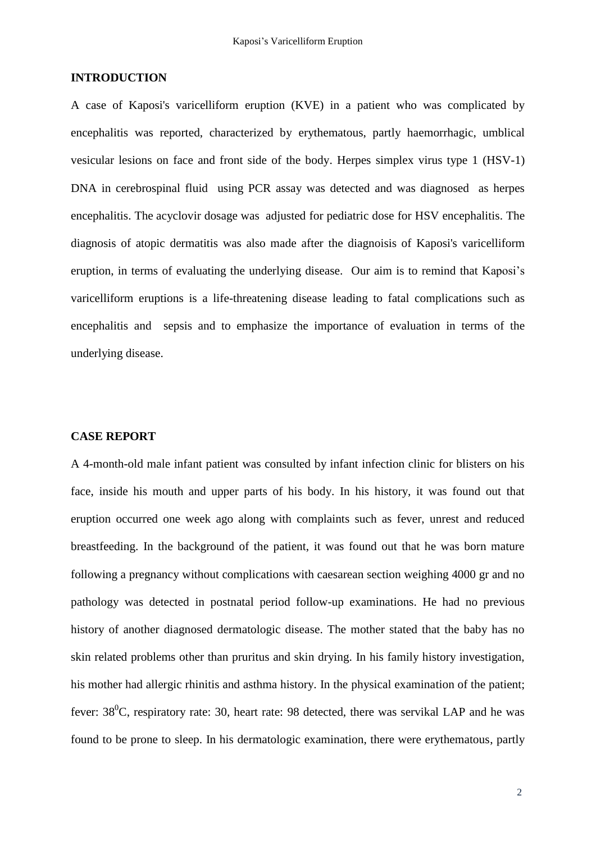# **INTRODUCTION**

A case of Kaposi's varicelliform eruption (KVE) in a patient who was complicated by encephalitis was reported, characterized by erythematous, partly haemorrhagic, umblical vesicular lesions on face and front side of the body. Herpes simplex virus type 1 (HSV-1) DNA in cerebrospinal fluid using PCR assay was detected and was diagnosed as herpes encephalitis. The acyclovir dosage was adjusted for pediatric dose for [HSV encephalitis.](http://www.drugs.com/dosage/acyclovir.html#Usual_Pediatric_Dose_for_Herpes_Simplex_Encephalitis) The diagnosis of atopic dermatitis was also made after the diagnoisis of Kaposi's varicelliform eruption, in terms of evaluating the underlying disease. Our aim is to remind that Kaposi's varicelliform eruptions is a life-threatening disease leading to fatal complications such as encephalitis and sepsis and to emphasize the importance of evaluation in terms of the underlying disease.

### **CASE REPORT**

A 4-month-old male infant patient was consulted by infant infection clinic for blisters on his face, inside his mouth and upper parts of his body. In his history, it was found out that eruption occurred one week ago along with complaints such as fever, unrest and reduced breastfeeding. In the background of the patient, it was found out that he was born mature following a pregnancy without complications with caesarean section weighing 4000 gr and no pathology was detected in postnatal period follow-up examinations. He had no previous history of another diagnosed dermatologic disease. The mother stated that the baby has no skin related problems other than pruritus and skin drying. In his family history investigation, his mother had allergic rhinitis and asthma history. In the physical examination of the patient: fever:  $38^{\circ}$ C, respiratory rate: 30, heart rate: 98 detected, there was servikal LAP and he was found to be prone to sleep. In his dermatologic examination, there were erythematous, partly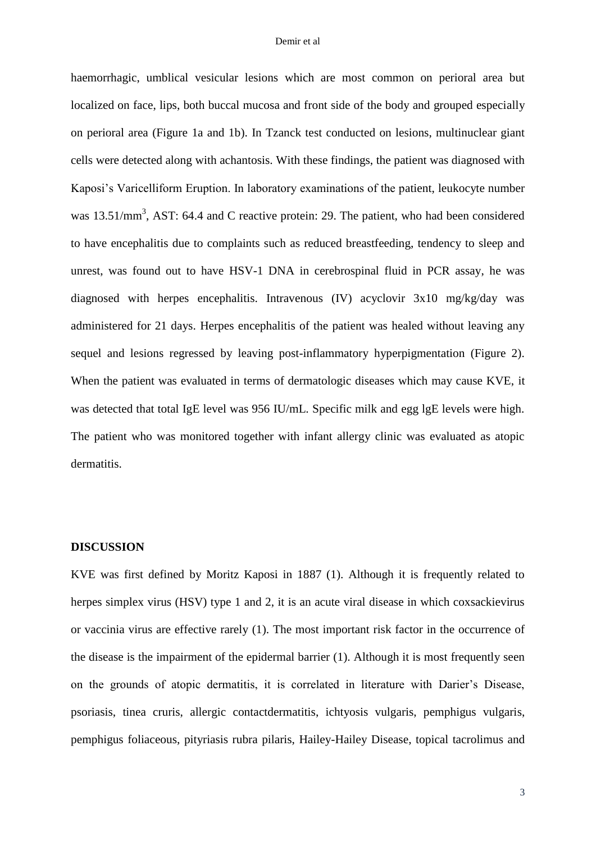haemorrhagic, umblical vesicular lesions which are most common on perioral area but localized on face, lips, both buccal mucosa and front side of the body and grouped especially on perioral area (Figure 1a and 1b). In Tzanck test conducted on lesions, multinuclear giant cells were detected along with achantosis. With these findings, the patient was diagnosed with Kaposi's Varicelliform Eruption. In laboratory examinations of the patient, leukocyte number was  $13.51/\text{mm}^3$ , AST: 64.4 and C reactive protein: 29. The patient, who had been considered to have encephalitis due to complaints such as reduced breastfeeding, tendency to sleep and unrest, was found out to have HSV-1 DNA in cerebrospinal fluid in PCR assay, he was diagnosed with herpes encephalitis. Intravenous (IV) acyclovir 3x10 mg/kg/day was administered for 21 days. Herpes encephalitis of the patient was healed without leaving any sequel and lesions regressed by leaving post-inflammatory hyperpigmentation (Figure 2). When the patient was evaluated in terms of dermatologic diseases which may cause KVE, it was detected that total IgE level was 956 IU/mL. Specific milk and egg lgE levels were high. The patient who was monitored together with infant allergy clinic was evaluated as atopic dermatitis.

### **DISCUSSION**

KVE was first defined by Moritz Kaposi in 1887 (1). Although it is frequently related to herpes simplex virus (HSV) type 1 and 2, it is an acute viral disease in which coxsackievirus or vaccinia virus are effective rarely (1). The most important risk factor in the occurrence of the disease is the impairment of the epidermal barrier (1). Although it is most frequently seen on the grounds of atopic dermatitis, it is correlated in literature with Darier's Disease, psoriasis, tinea cruris, allergic contactdermatitis, ichtyosis vulgaris, pemphigus vulgaris, pemphigus foliaceous, pityriasis rubra pilaris, Hailey-Hailey Disease, topical tacrolimus and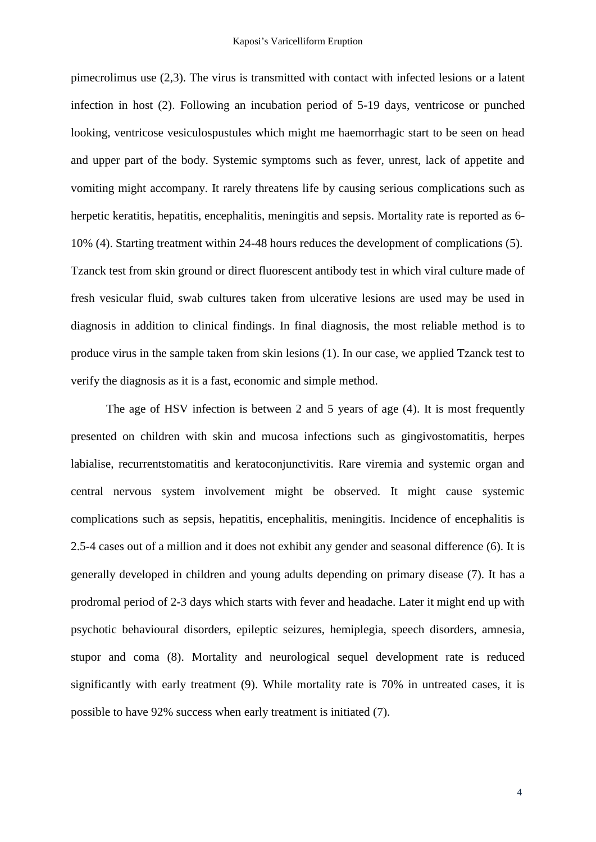pimecrolimus use (2,3). The virus is transmitted with contact with infected lesions or a latent infection in host (2). Following an incubation period of 5-19 days, ventricose or punched looking, ventricose vesiculospustules which might me haemorrhagic start to be seen on head and upper part of the body. Systemic symptoms such as fever, unrest, lack of appetite and vomiting might accompany. It rarely threatens life by causing serious complications such as herpetic keratitis, hepatitis, encephalitis, meningitis and sepsis. Mortality rate is reported as 6- 10% (4). Starting treatment within 24-48 hours reduces the development of complications (5). Tzanck test from skin ground or direct fluorescent antibody test in which viral culture made of fresh vesicular fluid, swab cultures taken from ulcerative lesions are used may be used in diagnosis in addition to clinical findings. In final diagnosis, the most reliable method is to produce virus in the sample taken from skin lesions (1). In our case, we applied Tzanck test to verify the diagnosis as it is a fast, economic and simple method.

The age of HSV infection is between 2 and 5 years of age (4). It is most frequently presented on children with skin and mucosa infections such as gingivostomatitis, herpes labialise, recurrentstomatitis and keratoconjunctivitis. Rare viremia and systemic organ and central nervous system involvement might be observed. It might cause systemic complications such as sepsis, hepatitis, encephalitis, meningitis. Incidence of encephalitis is 2.5-4 cases out of a million and it does not exhibit any gender and seasonal difference (6). It is generally developed in children and young adults depending on primary disease (7). It has a prodromal period of 2-3 days which starts with fever and headache. Later it might end up with psychotic behavioural disorders, epileptic seizures, hemiplegia, speech disorders, amnesia, stupor and coma (8). Mortality and neurological sequel development rate is reduced significantly with early treatment (9). While mortality rate is 70% in untreated cases, it is possible to have 92% success when early treatment is initiated (7).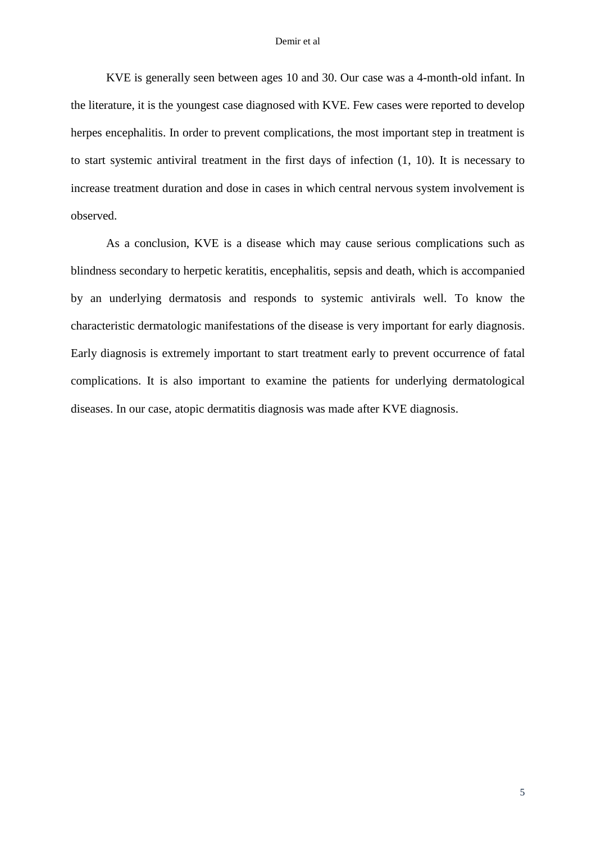#### Demir et al

KVE is generally seen between ages 10 and 30. Our case was a 4-month-old infant. In the literature, it is the youngest case diagnosed with KVE. Few cases were reported to develop herpes encephalitis. In order to prevent complications, the most important step in treatment is to start systemic antiviral treatment in the first days of infection (1, 10). It is necessary to increase treatment duration and dose in cases in which central nervous system involvement is observed.

As a conclusion, KVE is a disease which may cause serious complications such as blindness secondary to herpetic keratitis, encephalitis, sepsis and death, which is accompanied by an underlying dermatosis and responds to systemic antivirals well. To know the characteristic dermatologic manifestations of the disease is very important for early diagnosis. Early diagnosis is extremely important to start treatment early to prevent occurrence of fatal complications. It is also important to examine the patients for underlying dermatological diseases. In our case, atopic dermatitis diagnosis was made after KVE diagnosis.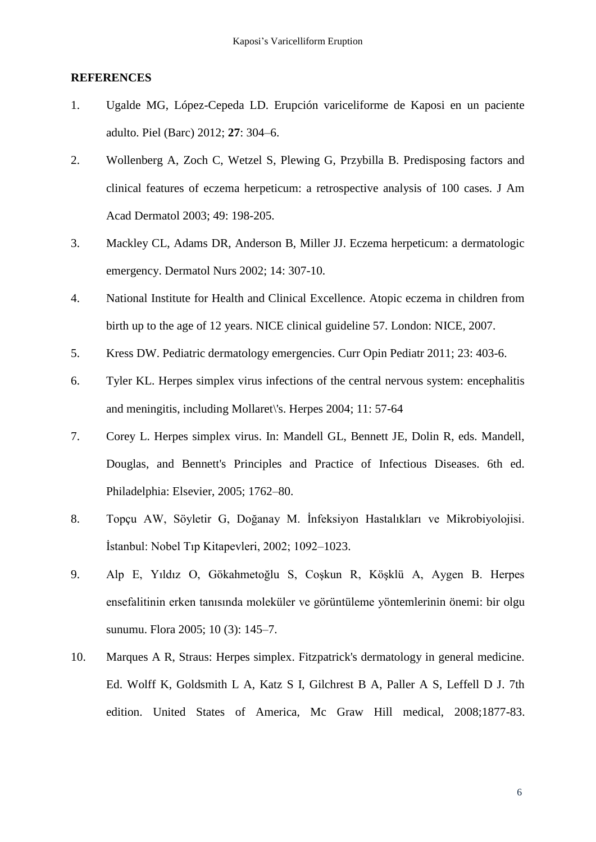# **REFERENCES**

- 1. Ugalde MG, López-Cepeda LD. Erupción variceliforme de Kaposi en un paciente adulto. Piel (Barc) 2012; **27**: 304–6.
- 2. Wollenberg A, Zoch C, Wetzel S, Plewing G, Przybilla B. Predisposing factors and clinical features of eczema herpeticum: a retrospective analysis of 100 cases. J Am Acad Dermatol 2003; 49: 198-205.
- 3. Mackley CL, Adams DR, Anderson B, Miller JJ. Eczema herpeticum: a dermatologic emergency. Dermatol Nurs 2002; 14: 307-10.
- 4. National Institute for Health and Clinical Excellence. Atopic eczema in children from birth up to the age of 12 years. NICE clinical guideline 57. London: NICE, 2007.
- 5. Kress DW. Pediatric dermatology emergencies. Curr Opin Pediatr 2011; 23: 403-6.
- 6. Tyler KL. Herpes simplex virus infections of the central nervous system: encephalitis and meningitis, including Mollaret\'s. Herpes 2004; 11: 57-64
- 7. Corey L. Herpes simplex virus. In: Mandell GL, Bennett JE, Dolin R, eds. Mandell, Douglas, and Bennett's Principles and Practice of Infectious Diseases. 6th ed. Philadelphia: Elsevier, 2005; 1762–80.
- 8. Topçu AW, Söyletir G, Doğanay M. İnfeksiyon Hastalıkları ve Mikrobiyolojisi. İstanbul: Nobel Tıp Kitapevleri, 2002; 1092–1023.
- 9. Alp E, Yıldız O, Gökahmetoğlu S, Coşkun R, Köşklü A, Aygen B. Herpes ensefalitinin erken tanısında moleküler ve görüntüleme yöntemlerinin önemi: bir olgu sunumu. Flora 2005; 10 (3): 145–7.
- 10. Marques A R, Straus: Herpes simplex. Fitzpatrick's dermatology in general medicine. Ed. Wolff K, Goldsmith L A, Katz S I, Gilchrest B A, Paller A S, Leffell D J. 7th edition. United States of America, Mc Graw Hill medical, 2008;1877-83.